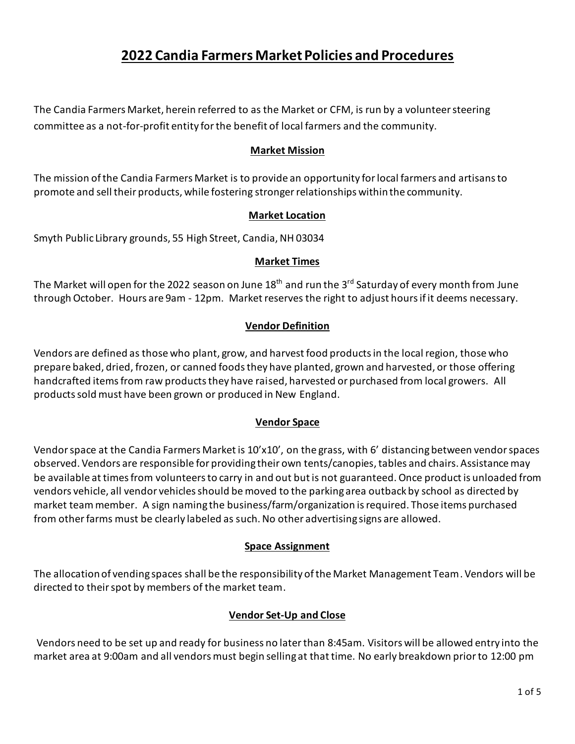# **2022 Candia Farmers Market Policies and Procedures**

The Candia Farmers Market, herein referred to as the Market or CFM, is run by a volunteer steering committee as a not-for-profit entity for the benefit of local farmers and the community.

## **Market Mission**

The mission of the Candia Farmers Market is to provide an opportunity for local farmers and artisans to promote and sell their products, while fostering stronger relationships within the community.

## **Market Location**

Smyth Public Library grounds, 55 High Street, Candia, NH 03034

## **Market Times**

The Market will open for the 2022 season on June 18 $^{\rm th}$  and run the 3 $^{\rm rd}$  Saturday of every month from June through October. Hours are 9am - 12pm. Market reserves the right to adjust hours if it deems necessary.

## **Vendor Definition**

Vendors are defined as those who plant, grow, and harvest food products in the local region, those who prepare baked, dried, frozen, or canned foods they have planted, grown and harvested, or those offering handcrafted items from raw products they have raised, harvested or purchased from local growers. All products sold must have been grown or produced in New England.

#### **Vendor Space**

Vendor space at the Candia Farmers Market is 10'x10', on the grass, with 6' distancing between vendor spaces observed. Vendors are responsible for providing their own tents/canopies, tables and chairs. Assistance may be available at times from volunteers to carry in and out but is not guaranteed. Once product is unloaded from vendors vehicle, all vendor vehicles should be moved to the parking area outback by school as directed by market team member. A sign naming the business/farm/organization is required. Those items purchased from other farms must be clearly labeled as such. No other advertising signs are allowed.

#### **Space Assignment**

The allocation of vending spaces shall be the responsibility of the Market Management Team. Vendors will be directed to their spot by members of the market team.

## **Vendor Set-Up and Close**

Vendors need to be set up and ready for business no later than 8:45am. Visitors will be allowed entry into the market area at 9:00am and all vendors must begin selling at that time. No early breakdown prior to 12:00 pm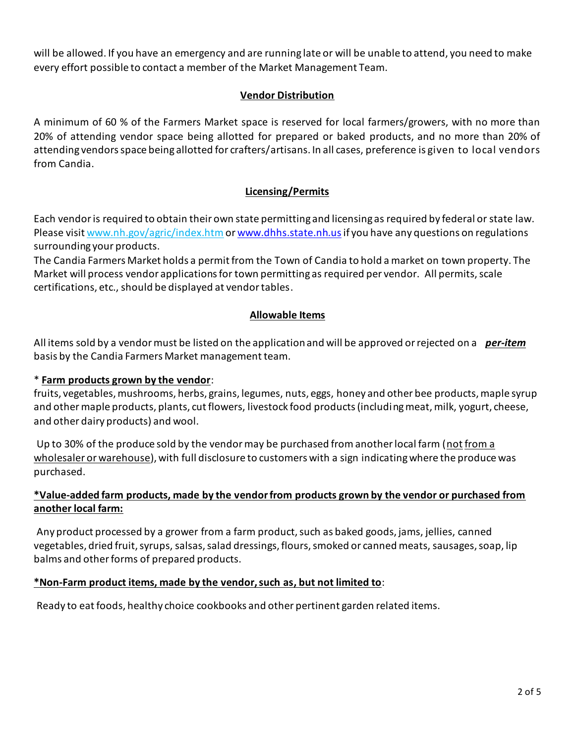will be allowed. If you have an emergency and are running late or will be unable to attend, you need to make every effort possible to contact a member of the Market Management Team.

# **Vendor Distribution**

A minimum of 60 % of the Farmers Market space is reserved for local farmers/growers, with no more than 20% of attending vendor space being allotted for prepared or baked products, and no more than 20% of attending vendors space being allotted for crafters/artisans. In all cases, preference is given to local vendors from Candia.

# **Licensing/Permits**

Each vendor is required to obtain their own state permitting and licensing as required by federal or state law. Please visi[t www.nh.gov/agric/index.htm](http://www.nh.gov/agric/index.htm) o[r www.dhhs.state.nh.us](http://www.dhhs.state.nh.us/)if you have any questions on regulations surrounding your products.

The Candia Farmers Market holds a permit from the Town of Candia to hold a market on town property. The Market will process vendor applications for town permitting as required per vendor. All permits, scale certifications, etc., should be displayed at vendor tables.

## **Allowable Items**

All items sold by a vendor must be listed on the application and will be approved or rejected on a *per-item* basis by the Candia Farmers Market management team.

## \* **Farm products grown by the vendor**:

fruits, vegetables, mushrooms, herbs, grains, legumes, nuts, eggs, honey and other bee products, maple syrup and other maple products, plants, cut flowers, livestock food products (including meat, milk, yogurt, cheese, and other dairy products) and wool.

Up to 30% of the produce sold by the vendor may be purchased from another local farm (not from a wholesaler or warehouse), with full disclosure to customers with a sign indicating where the produce was purchased.

## **\*Value-added farm products, made by the vendor from products grown by the vendor or purchased from another local farm:**

Any product processed by a grower from a farm product, such as baked goods, jams, jellies, canned vegetables, dried fruit, syrups, salsas, salad dressings, flours, smoked or canned meats, sausages, soap, lip balms and other forms of prepared products.

#### **\*Non-Farm product items, made by the vendor, such as, but not limited to**:

Ready to eat foods, healthy choice cookbooks and other pertinent garden related items.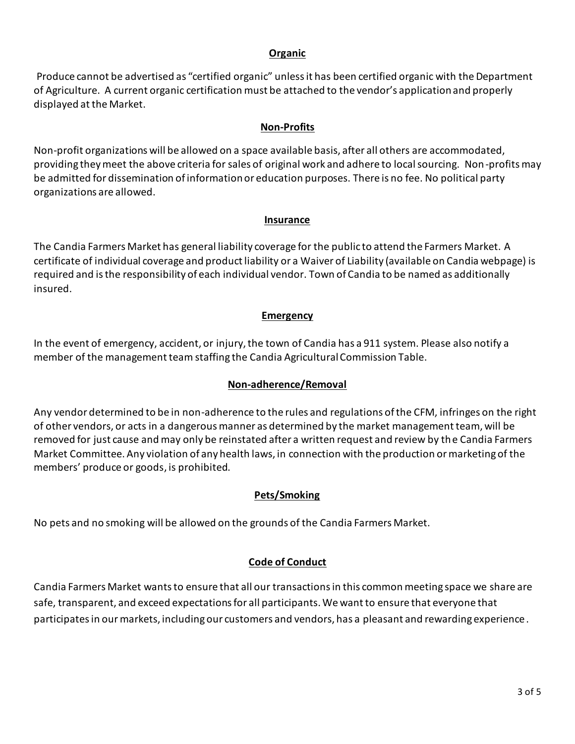## **Organic**

Produce cannot be advertised as "certified organic" unless it has been certified organic with the Department of Agriculture. A current organic certification must be attached to the vendor's application and properly displayed at the Market.

# **Non-Profits**

Non-profit organizations will be allowed on a space available basis, after all others are accommodated, providing they meet the above criteria for sales of original work and adhere to local sourcing. Non-profits may be admitted for dissemination of information or education purposes. There is no fee. No political party organizations are allowed.

## **Insurance**

The Candia Farmers Market has general liability coverage for the public to attend the Farmers Market. A certificate of individual coverage and product liability or a Waiver of Liability (available on Candia webpage) is required and is the responsibility of each individual vendor. Town of Candia to be named as additionally insured.

# **Emergency**

In the event of emergency, accident, or injury, the town of Candia has a 911 system. Please also notify a member of the management team staffing the Candia Agricultural Commission Table.

## **Non-adherence/Removal**

Any vendor determined to be in non-adherence to the rules and regulations of the CFM, infringes on the right of other vendors, or acts in a dangerous manner as determined by the market management team, will be removed for just cause and may only be reinstated after a written request and review by the Candia Farmers Market Committee. Any violation of any health laws, in connection with the production or marketing of the members' produce or goods, is prohibited.

## **Pets/Smoking**

No pets and no smoking will be allowed on the grounds of the Candia Farmers Market.

# **Code of Conduct**

Candia Farmers Market wants to ensure that all our transactions in this common meeting space we share are safe, transparent, and exceed expectations for all participants. We want to ensure that everyone that participates in our markets, including our customers and vendors, has a pleasant and rewarding experience.